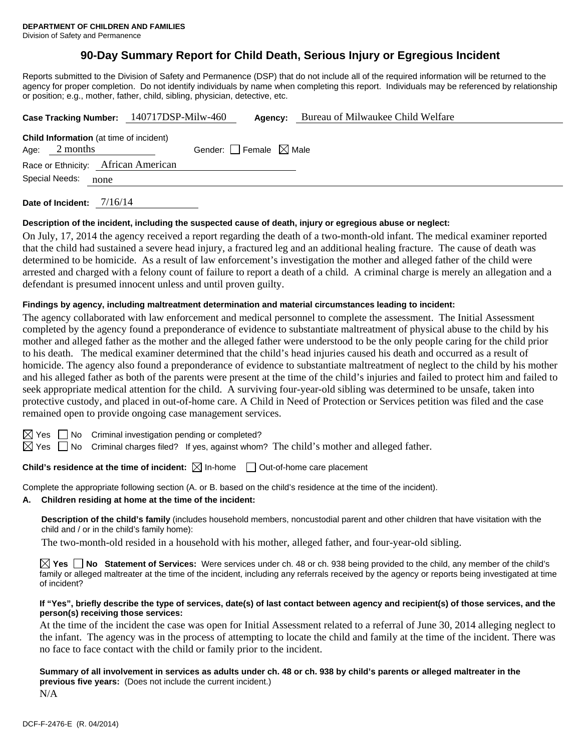# **90-Day Summary Report for Child Death, Serious Injury or Egregious Incident**

Reports submitted to the Division of Safety and Permanence (DSP) that do not include all of the required information will be returned to the agency for proper completion. Do not identify individuals by name when completing this report. Individuals may be referenced by relationship or position; e.g., mother, father, child, sibling, physician, detective, etc.

|                                                | Case Tracking Number: 140717DSP-Milw-460<br>Agency: | Bureau of Milwaukee Child Welfare |
|------------------------------------------------|-----------------------------------------------------|-----------------------------------|
| <b>Child Information</b> (at time of incident) |                                                     |                                   |
| 2 months<br>Age:                               | Gender: Female $\boxtimes$ Male                     |                                   |
| Race or Ethnicity: African American            |                                                     |                                   |
| Special Needs:<br>none                         |                                                     |                                   |
| _ _ _ _ _ _ _ _                                | 71.71.4                                             |                                   |

**Date of Incident:** 7/16/14

### **Description of the incident, including the suspected cause of death, injury or egregious abuse or neglect:**

On July, 17, 2014 the agency received a report regarding the death of a two-month-old infant. The medical examiner reported that the child had sustained a severe head injury, a fractured leg and an additional healing fracture. The cause of death was determined to be homicide. As a result of law enforcement's investigation the mother and alleged father of the child were arrested and charged with a felony count of failure to report a death of a child. A criminal charge is merely an allegation and a defendant is presumed innocent unless and until proven guilty.

### **Findings by agency, including maltreatment determination and material circumstances leading to incident:**

The agency collaborated with law enforcement and medical personnel to complete the assessment. The Initial Assessment completed by the agency found a preponderance of evidence to substantiate maltreatment of physical abuse to the child by his mother and alleged father as the mother and the alleged father were understood to be the only people caring for the child prior to his death. The medical examiner determined that the child's head injuries caused his death and occurred as a result of homicide. The agency also found a preponderance of evidence to substantiate maltreatment of neglect to the child by his mother and his alleged father as both of the parents were present at the time of the child's injuries and failed to protect him and failed to seek appropriate medical attention for the child. A surviving four-year-old sibling was determined to be unsafe, taken into protective custody, and placed in out-of-home care. A Child in Need of Protection or Services petition was filed and the case remained open to provide ongoing case management services.

 $\boxtimes$  Yes  $\Box$  No Criminal investigation pending or completed?

 $\boxtimes$  Yes  $\Box$  No Criminal charges filed? If yes, against whom? The child's mother and alleged father.

## **Child's residence at the time of incident:**  $\boxtimes$  In-home  $\Box$  Out-of-home care placement

Complete the appropriate following section (A. or B. based on the child's residence at the time of the incident).

**A. Children residing at home at the time of the incident:**

**Description of the child's family** (includes household members, noncustodial parent and other children that have visitation with the child and / or in the child's family home):

The two-month-old resided in a household with his mother, alleged father, and four-year-old sibling.

**Yes No Statement of Services:** Were services under ch. 48 or ch. 938 being provided to the child, any member of the child's family or alleged maltreater at the time of the incident, including any referrals received by the agency or reports being investigated at time of incident?

#### **If "Yes", briefly describe the type of services, date(s) of last contact between agency and recipient(s) of those services, and the person(s) receiving those services:**

At the time of the incident the case was open for Initial Assessment related to a referral of June 30, 2014 alleging neglect to the infant. The agency was in the process of attempting to locate the child and family at the time of the incident. There was no face to face contact with the child or family prior to the incident.

**Summary of all involvement in services as adults under ch. 48 or ch. 938 by child's parents or alleged maltreater in the previous five years:** (Does not include the current incident.) N/A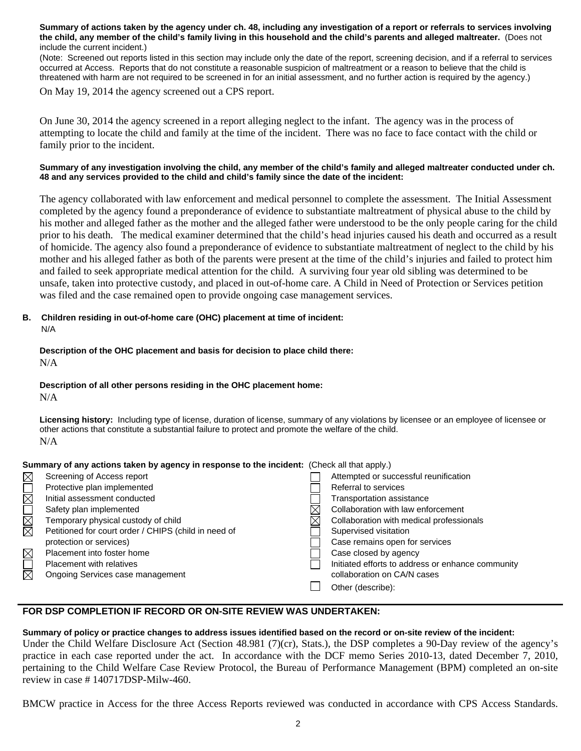**Summary of actions taken by the agency under ch. 48, including any investigation of a report or referrals to services involving the child, any member of the child's family living in this household and the child's parents and alleged maltreater.** (Does not include the current incident.)

(Note: Screened out reports listed in this section may include only the date of the report, screening decision, and if a referral to services occurred at Access. Reports that do not constitute a reasonable suspicion of maltreatment or a reason to believe that the child is threatened with harm are not required to be screened in for an initial assessment, and no further action is required by the agency.)

On May 19, 2014 the agency screened out a CPS report.

On June 30, 2014 the agency screened in a report alleging neglect to the infant. The agency was in the process of attempting to locate the child and family at the time of the incident. There was no face to face contact with the child or family prior to the incident.

### **Summary of any investigation involving the child, any member of the child's family and alleged maltreater conducted under ch. 48 and any services provided to the child and child's family since the date of the incident:**

The agency collaborated with law enforcement and medical personnel to complete the assessment. The Initial Assessment completed by the agency found a preponderance of evidence to substantiate maltreatment of physical abuse to the child by his mother and alleged father as the mother and the alleged father were understood to be the only people caring for the child prior to his death. The medical examiner determined that the child's head injuries caused his death and occurred as a result of homicide. The agency also found a preponderance of evidence to substantiate maltreatment of neglect to the child by his mother and his alleged father as both of the parents were present at the time of the child's injuries and failed to protect him and failed to seek appropriate medical attention for the child. A surviving four year old sibling was determined to be unsafe, taken into protective custody, and placed in out-of-home care. A Child in Need of Protection or Services petition was filed and the case remained open to provide ongoing case management services.

# **B. Children residing in out-of-home care (OHC) placement at time of incident:**

N/A

## **Description of the OHC placement and basis for decision to place child there:** N/A

**Summary of any actions taken by agency in response to the incident:** (Check all that apply.)

## **Description of all other persons residing in the OHC placement home:**

N/A

**Licensing history:** Including type of license, duration of license, summary of any violations by licensee or an employee of licensee or other actions that constitute a substantial failure to protect and promote the welfare of the child. N/A

| ouninialy of any actions taken by agency in response to the incluent. Toneth all that apply.) |                                                      |  |                                                   |
|-----------------------------------------------------------------------------------------------|------------------------------------------------------|--|---------------------------------------------------|
| $\boxtimes$                                                                                   | Screening of Access report                           |  | Attempted or successful reunification             |
| $\mathop{\boxtimes}$                                                                          | Protective plan implemented                          |  | Referral to services                              |
|                                                                                               | Initial assessment conducted                         |  | <b>Transportation assistance</b>                  |
| MMO                                                                                           | Safety plan implemented                              |  | Collaboration with law enforcement                |
|                                                                                               | Temporary physical custody of child                  |  | Collaboration with medical professionals          |
|                                                                                               | Petitioned for court order / CHIPS (child in need of |  | Supervised visitation                             |
|                                                                                               | protection or services)                              |  | Case remains open for services                    |
| MOR<br>R                                                                                      | Placement into foster home                           |  | Case closed by agency                             |
|                                                                                               | <b>Placement with relatives</b>                      |  | Initiated efforts to address or enhance community |
|                                                                                               | Ongoing Services case management                     |  | collaboration on CA/N cases                       |
|                                                                                               |                                                      |  | Other (describe):                                 |
|                                                                                               |                                                      |  |                                                   |

## **FOR DSP COMPLETION IF RECORD OR ON-SITE REVIEW WAS UNDERTAKEN:**

## **Summary of policy or practice changes to address issues identified based on the record or on-site review of the incident:**

Under the Child Welfare Disclosure Act (Section 48.981 (7)(cr), Stats.), the DSP completes a 90-Day review of the agency's practice in each case reported under the act. In accordance with the DCF memo Series 2010-13, dated December 7, 2010, pertaining to the Child Welfare Case Review Protocol, the Bureau of Performance Management (BPM) completed an on-site review in case # 140717DSP-Milw-460.

BMCW practice in Access for the three Access Reports reviewed was conducted in accordance with CPS Access Standards.